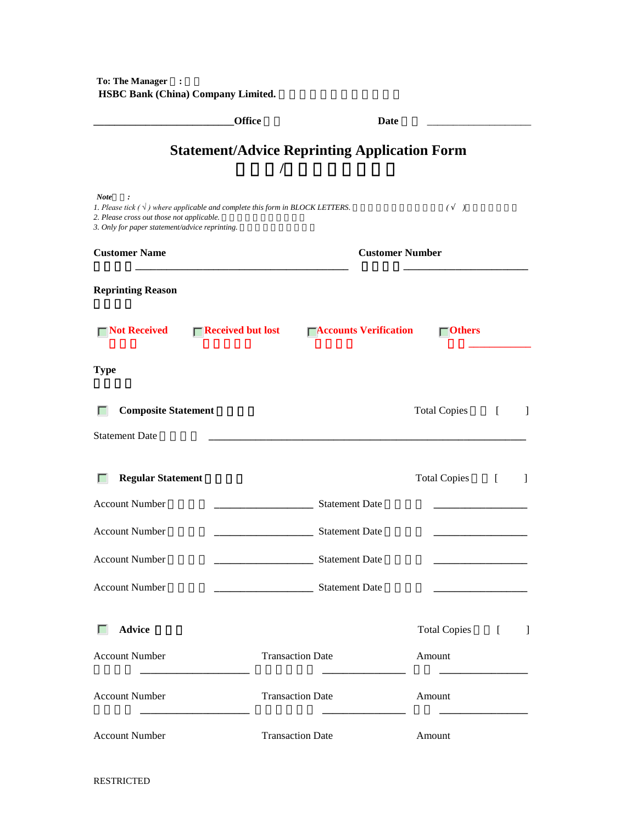**To: The Manager : HSBC Bank (China) Company Limited.** 

|                                                                                                                                                                                                    | <b>Office</b>                                            |                               | <b>Date</b>            |                              |                  |              |
|----------------------------------------------------------------------------------------------------------------------------------------------------------------------------------------------------|----------------------------------------------------------|-------------------------------|------------------------|------------------------------|------------------|--------------|
|                                                                                                                                                                                                    | <b>Statement/Advice Reprinting Application Form</b><br>I |                               |                        |                              |                  |              |
| <b>Note</b><br>1. Please tick $(\sqrt{})$ where applicable and complete this form in BLOCK LETTERS.<br>2. Please cross out those not applicable.<br>3. Only for paper statement/advice reprinting. |                                                          |                               |                        | $\left($<br>$\left( \right)$ |                  |              |
| <b>Customer Name</b>                                                                                                                                                                               |                                                          |                               | <b>Customer Number</b> |                              |                  |              |
| <b>Reprinting Reason</b>                                                                                                                                                                           |                                                          |                               |                        |                              |                  |              |
| $\Box$ Not Received                                                                                                                                                                                | $\Box$ Received but lost                                 | <b>□Accounts Verification</b> |                        | $\blacksquare$ Others        |                  |              |
| <b>Type</b>                                                                                                                                                                                        |                                                          |                               |                        |                              |                  |              |
| <b>Composite Statement</b>                                                                                                                                                                         |                                                          |                               | <b>Total Copies</b>    |                              | $\left[ \right]$ | $\mathbf{I}$ |
| <b>Statement Date</b>                                                                                                                                                                              |                                                          |                               |                        |                              |                  |              |
| <b>Regular Statement</b>                                                                                                                                                                           |                                                          |                               | <b>Total Copies</b>    |                              | ſ                | 1            |
| <b>Account Number</b>                                                                                                                                                                              |                                                          | <b>Statement Date</b>         |                        |                              |                  |              |
| <b>Account Number</b>                                                                                                                                                                              |                                                          | <b>Statement Date</b>         |                        |                              |                  |              |
| <b>Account Number</b>                                                                                                                                                                              |                                                          | <b>Statement Date</b>         |                        |                              |                  |              |
| <b>Account Number</b>                                                                                                                                                                              |                                                          | <b>Statement Date</b>         |                        |                              |                  |              |
| <b>Advice</b><br>L                                                                                                                                                                                 |                                                          |                               |                        | <b>Total Copies</b>          | $\left[ \right]$ | $\mathbf{I}$ |
| <b>Account Number</b>                                                                                                                                                                              |                                                          | <b>Transaction Date</b>       | Amount                 |                              |                  |              |
| <b>Account Number</b>                                                                                                                                                                              |                                                          | <b>Transaction Date</b>       | Amount                 |                              |                  |              |
| <b>Account Number</b>                                                                                                                                                                              |                                                          | <b>Transaction Date</b>       | Amount                 |                              |                  |              |